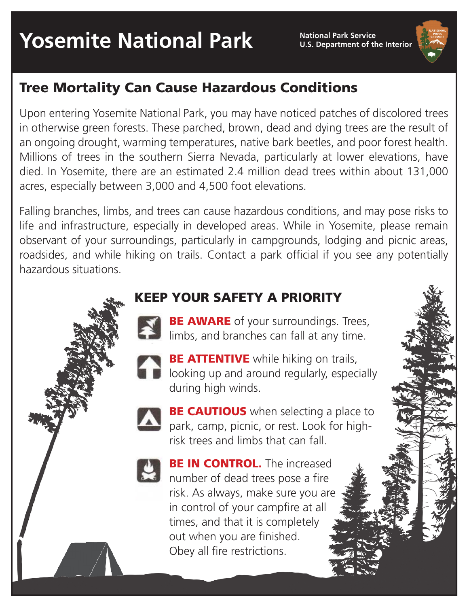**U.S. Department of the Interior**

## Tree Mortality Can Cause Hazardous Conditions

Upon entering Yosemite National Park, you may have noticed patches of discolored trees in otherwise green forests. These parched, brown, dead and dying trees are the result of an ongoing drought, warming temperatures, native bark beetles, and poor forest health. Millions of trees in the southern Sierra Nevada, particularly at lower elevations, have died. In Yosemite, there are an estimated 2.4 million dead trees within about 131,000 acres, especially between 3,000 and 4,500 foot elevations.

Falling branches, limbs, and trees can cause hazardous conditions, and may pose risks to life and infrastructure, especially in developed areas. While in Yosemite, please remain observant of your surroundings, particularly in campgrounds, lodging and picnic areas, roadsides, and while hiking on trails. Contact a park official if you see any potentially hazardous situations.

### KEEP YOUR SAFETY A PRIORITY

- **BE AWARE** of your surroundings. Trees, limbs, and branches can fall at any time.
- **BE ATTENTIVE** while hiking on trails, looking up and around regularly, especially during high winds.

**BE CAUTIOUS** when selecting a place to park, camp, picnic, or rest. Look for highrisk trees and limbs that can fall.



**BE IN CONTROL.** The increased number of dead trees pose a fire risk. As always, make sure you are in control of your campfire at all times, and that it is completely out when you are finished. Obey all fire restrictions.